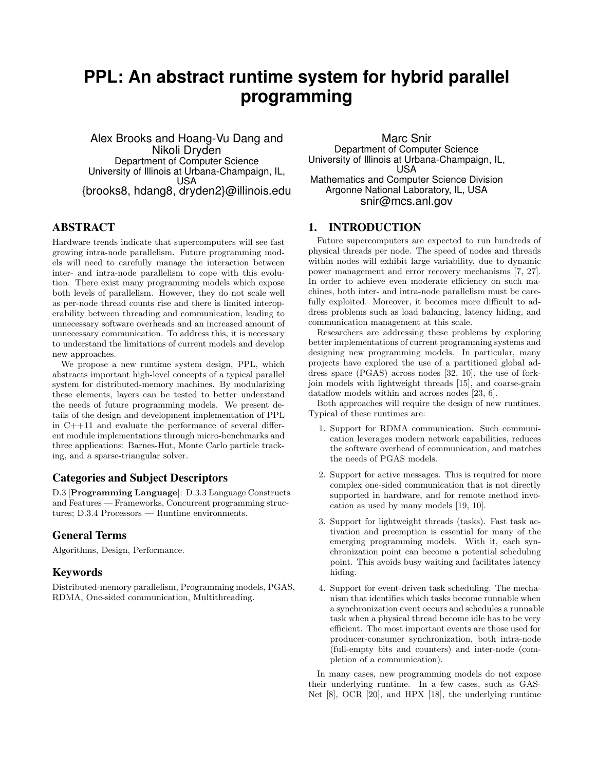# **PPL: An abstract runtime system for hybrid parallel programming**

Alex Brooks and Hoang-Vu Dang and Nikoli Dryden Department of Computer Science University of Illinois at Urbana-Champaign, IL, USA {brooks8, hdang8, dryden2}@illinois.edu

# ABSTRACT

Hardware trends indicate that supercomputers will see fast growing intra-node parallelism. Future programming models will need to carefully manage the interaction between inter- and intra-node parallelism to cope with this evolution. There exist many programming models which expose both levels of parallelism. However, they do not scale well as per-node thread counts rise and there is limited interoperability between threading and communication, leading to unnecessary software overheads and an increased amount of unnecessary communication. To address this, it is necessary to understand the limitations of current models and develop new approaches.

We propose a new runtime system design, PPL, which abstracts important high-level concepts of a typical parallel system for distributed-memory machines. By modularizing these elements, layers can be tested to better understand the needs of future programming models. We present details of the design and development implementation of PPL in C++11 and evaluate the performance of several different module implementations through micro-benchmarks and three applications: Barnes-Hut, Monte Carlo particle tracking, and a sparse-triangular solver.

# Categories and Subject Descriptors

D.3 [Programming Language]: D.3.3 Language Constructs and Features — Frameworks, Concurrent programming structures; D.3.4 Processors — Runtime environments.

# General Terms

Algorithms, Design, Performance.

#### Keywords

Distributed-memory parallelism, Programming models, PGAS, RDMA, One-sided communication, Multithreading.

Marc Snir Department of Computer Science University of Illinois at Urbana-Champaign, IL, USA Mathematics and Computer Science Division Argonne National Laboratory, IL, USA snir@mcs.anl.gov

# 1. INTRODUCTION

Future supercomputers are expected to run hundreds of physical threads per node. The speed of nodes and threads within nodes will exhibit large variability, due to dynamic power management and error recovery mechanisms [7, 27]. In order to achieve even moderate efficiency on such machines, both inter- and intra-node parallelism must be carefully exploited. Moreover, it becomes more difficult to address problems such as load balancing, latency hiding, and communication management at this scale.

Researchers are addressing these problems by exploring better implementations of current programming systems and designing new programming models. In particular, many projects have explored the use of a partitioned global address space (PGAS) across nodes [32, 10], the use of forkjoin models with lightweight threads [15], and coarse-grain dataflow models within and across nodes [23, 6].

Both approaches will require the design of new runtimes. Typical of these runtimes are:

- 1. Support for RDMA communication. Such communication leverages modern network capabilities, reduces the software overhead of communication, and matches the needs of PGAS models.
- 2. Support for active messages. This is required for more complex one-sided communication that is not directly supported in hardware, and for remote method invocation as used by many models [19, 10].
- 3. Support for lightweight threads (tasks). Fast task activation and preemption is essential for many of the emerging programming models. With it, each synchronization point can become a potential scheduling point. This avoids busy waiting and facilitates latency hiding.
- 4. Support for event-driven task scheduling. The mechanism that identifies which tasks become runnable when a synchronization event occurs and schedules a runnable task when a physical thread become idle has to be very efficient. The most important events are those used for producer-consumer synchronization, both intra-node (full-empty bits and counters) and inter-node (completion of a communication).

In many cases, new programming models do not expose their underlying runtime. In a few cases, such as GAS-Net [8], OCR [20], and HPX [18], the underlying runtime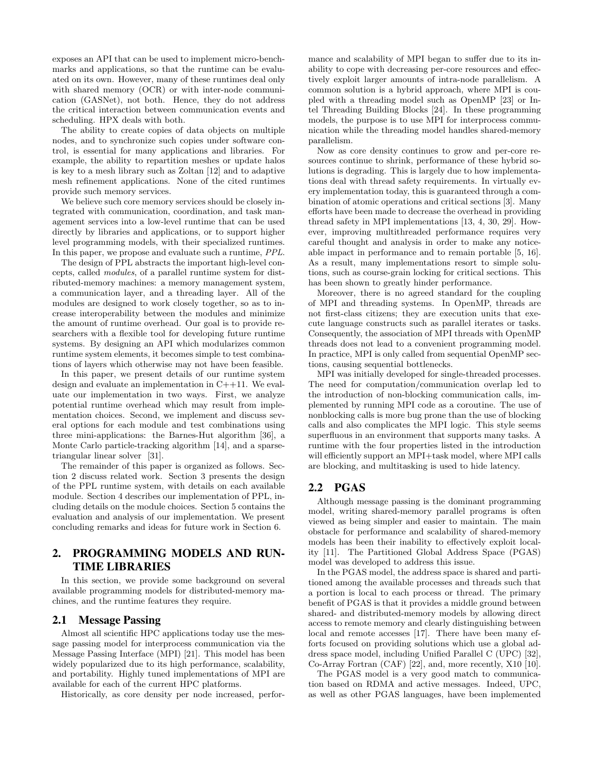exposes an API that can be used to implement micro-benchmarks and applications, so that the runtime can be evaluated on its own. However, many of these runtimes deal only with shared memory (OCR) or with inter-node communication (GASNet), not both. Hence, they do not address the critical interaction between communication events and scheduling. HPX deals with both.

The ability to create copies of data objects on multiple nodes, and to synchronize such copies under software control, is essential for many applications and libraries. For example, the ability to repartition meshes or update halos is key to a mesh library such as Zoltan [12] and to adaptive mesh refinement applications. None of the cited runtimes provide such memory services.

We believe such core memory services should be closely integrated with communication, coordination, and task management services into a low-level runtime that can be used directly by libraries and applications, or to support higher level programming models, with their specialized runtimes. In this paper, we propose and evaluate such a runtime, PPL.

The design of PPL abstracts the important high-level concepts, called modules, of a parallel runtime system for distributed-memory machines: a memory management system, a communication layer, and a threading layer. All of the modules are designed to work closely together, so as to increase interoperability between the modules and minimize the amount of runtime overhead. Our goal is to provide researchers with a flexible tool for developing future runtime systems. By designing an API which modularizes common runtime system elements, it becomes simple to test combinations of layers which otherwise may not have been feasible.

In this paper, we present details of our runtime system design and evaluate an implementation in C++11. We evaluate our implementation in two ways. First, we analyze potential runtime overhead which may result from implementation choices. Second, we implement and discuss several options for each module and test combinations using three mini-applications: the Barnes-Hut algorithm [36], a Monte Carlo particle-tracking algorithm [14], and a sparsetriangular linear solver [31].

The remainder of this paper is organized as follows. Section 2 discuss related work. Section 3 presents the design of the PPL runtime system, with details on each available module. Section 4 describes our implementation of PPL, including details on the module choices. Section 5 contains the evaluation and analysis of our implementation. We present concluding remarks and ideas for future work in Section 6.

# 2. PROGRAMMING MODELS AND RUN-TIME LIBRARIES

In this section, we provide some background on several available programming models for distributed-memory machines, and the runtime features they require.

## 2.1 Message Passing

Almost all scientific HPC applications today use the message passing model for interprocess communication via the Message Passing Interface (MPI) [21]. This model has been widely popularized due to its high performance, scalability, and portability. Highly tuned implementations of MPI are available for each of the current HPC platforms.

Historically, as core density per node increased, perfor-

mance and scalability of MPI began to suffer due to its inability to cope with decreasing per-core resources and effectively exploit larger amounts of intra-node parallelism. A common solution is a hybrid approach, where MPI is coupled with a threading model such as OpenMP [23] or Intel Threading Building Blocks [24]. In these programming models, the purpose is to use MPI for interprocess communication while the threading model handles shared-memory parallelism.

Now as core density continues to grow and per-core resources continue to shrink, performance of these hybrid solutions is degrading. This is largely due to how implementations deal with thread safety requirements. In virtually every implementation today, this is guaranteed through a combination of atomic operations and critical sections [3]. Many efforts have been made to decrease the overhead in providing thread safety in MPI implementations [13, 4, 30, 29]. However, improving multithreaded performance requires very careful thought and analysis in order to make any noticeable impact in performance and to remain portable [5, 16]. As a result, many implementations resort to simple solutions, such as course-grain locking for critical sections. This has been shown to greatly hinder performance.

Moreover, there is no agreed standard for the coupling of MPI and threading systems. In OpenMP, threads are not first-class citizens; they are execution units that execute language constructs such as parallel iterates or tasks. Consequently, the association of MPI threads with OpenMP threads does not lead to a convenient programming model. In practice, MPI is only called from sequential OpenMP sections, causing sequential bottlenecks.

MPI was initially developed for single-threaded processes. The need for computation/communication overlap led to the introduction of non-blocking communication calls, implemented by running MPI code as a coroutine. The use of nonblocking calls is more bug prone than the use of blocking calls and also complicates the MPI logic. This style seems superfluous in an environment that supports many tasks. A runtime with the four properties listed in the introduction will efficiently support an MPI+task model, where MPI calls are blocking, and multitasking is used to hide latency.

#### 2.2 PGAS

Although message passing is the dominant programming model, writing shared-memory parallel programs is often viewed as being simpler and easier to maintain. The main obstacle for performance and scalability of shared-memory models has been their inability to effectively exploit locality [11]. The Partitioned Global Address Space (PGAS) model was developed to address this issue.

In the PGAS model, the address space is shared and partitioned among the available processes and threads such that a portion is local to each process or thread. The primary benefit of PGAS is that it provides a middle ground between shared- and distributed-memory models by allowing direct access to remote memory and clearly distinguishing between local and remote accesses [17]. There have been many efforts focused on providing solutions which use a global address space model, including Unified Parallel C (UPC) [32], Co-Array Fortran (CAF) [22], and, more recently, X10 [10].

The PGAS model is a very good match to communication based on RDMA and active messages. Indeed, UPC, as well as other PGAS languages, have been implemented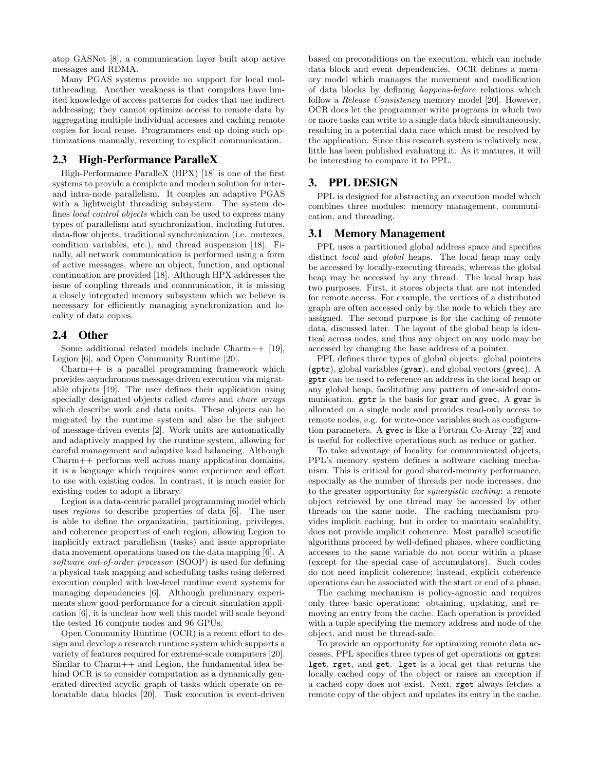atop GASNet [8], a communication layer built atop active messages and RDMA.

Many PGAS systems provide no support for local multithreading. Another weakness is that compilers have limited knowledge of access patterns for codes that use indirect addressing; they cannot optimize access to remote data by aggregating multiple individual accesses and caching remote copies for local reuse. Programmers end up doing such optimizations manually, reverting to explicit communication.

# 2.3 High-Performance ParalleX

High-Performance ParalleX (HPX) [18] is one of the first systems to provide a complete and modern solution for interand intra-node parallelism. It couples an adaptive PGAS with a lightweight threading subsystem. The system defines local control objects which can be used to express many types of parallelism and synchronization, including futures, data-flow objects, traditional synchronization (i.e. mutexes, condition variables, etc.), and thread suspension [18]. Finally, all network communication is performed using a form of active messages, where an object, function, and optional continuation are provided [18]. Although HPX addresses the issue of coupling threads and communication, it is missing a closely integrated memory subsystem which we believe is necessary for efficiently managing synchronization and locality of data copies.

#### 2.4 Other

Some additional related models include  $Charm++$  [19], Legion [6], and Open Community Runtime [20].

Charm++ is a parallel programming framework which provides asynchronous message-driven execution via migratable objects [19]. The user defines their application using specially designated objects called chares and chare arrays which describe work and data units. These objects can be migrated by the runtime system and also be the subject of message-driven events [2]. Work units are automatically and adaptively mapped by the runtime system, allowing for careful management and adaptive load balancing. Although Charm++ performs well across many application domains, it is a language which requires some experience and effort to use with existing codes. In contrast, it is much easier for existing codes to adopt a library.

Legion is a data-centric parallel programming model which uses regions to describe properties of data [6]. The user is able to define the organization, partitioning, privileges, and coherence properties of each region, allowing Legion to implicitly extract parallelism (tasks) and issue appropriate data movement operations based on the data mapping [6]. A software out-of-order processor (SOOP) is used for defining a physical task mapping and scheduling tasks using deferred execution coupled with low-level runtime event systems for managing dependencies [6]. Although preliminary experiments show good performance for a circuit simulation application [6], it is unclear how well this model will scale beyond the tested 16 compute nodes and 96 GPUs.

Open Community Runtime (OCR) is a recent effort to design and develop a research runtime system which supports a variety of features required for extreme-scale computers [20]. Similar to Charm++ and Legion, the fundamental idea behind OCR is to consider computation as a dynamically generated directed acyclic graph of tasks which operate on relocatable data blocks [20]. Task execution is event-driven based on preconditions on the execution, which can include data block and event dependencies. OCR defines a memory model which manages the movement and modification of data blocks by defining happens-before relations which follow a *Release Consistency* memory model [20]. However, OCR does let the programmer write programs in which two or more tasks can write to a single data block simultaneously, resulting in a potential data race which must be resolved by the application. Since this research system is relatively new, little has been published evaluating it. As it matures, it will be interesting to compare it to PPL.

#### 3. PPL DESIGN

PPL is designed for abstracting an execution model which combines three modules: memory management, communication, and threading.

#### 3.1 Memory Management

PPL uses a partitioned global address space and specifies distinct local and global heaps. The local heap may only be accessed by locally-executing threads, whereas the global heap may be accessed by any thread. The local heap has two purposes. First, it stores objects that are not intended for remote access. For example, the vertices of a distributed graph are often accessed only by the node to which they are assigned. The second purpose is for the caching of remote data, discussed later. The layout of the global heap is identical across nodes, and thus any object on any node may be accessed by changing the base address of a pointer.

PPL defines three types of global objects: global pointers (gptr), global variables (gvar), and global vectors (gvec). A gptr can be used to reference an address in the local heap or any global heap, facilitating any pattern of one-sided communication. gptr is the basis for gvar and gvec. A gvar is allocated on a single node and provides read-only access to remote nodes, e.g. for write-once variables such as configuration parameters. A gvec is like a Fortran Co-Array [22] and is useful for collective operations such as reduce or gather.

To take advantage of locality for communicated objects, PPL's memory system defines a software caching mechanism. This is critical for good shared-memory performance, especially as the number of threads per node increases, due to the greater opportunity for synergistic caching: a remote object retrieved by one thread may be accessed by other threads on the same node. The caching mechanism provides implicit caching, but in order to maintain scalability, does not provide implicit coherence. Most parallel scientific algorithms proceed by well-defined phases, where conflicting accesses to the same variable do not occur within a phase (except for the special case of accumulators). Such codes do not need implicit coherence; instead, explicit coherence operations can be associated with the start or end of a phase.

The caching mechanism is policy-agnostic and requires only three basic operations: obtaining, updating, and removing an entry from the cache. Each operation is provided with a tuple specifying the memory address and node of the object, and must be thread-safe.

To provide an opportunity for optimizing remote data accesses, PPL specifies three types of get operations on gptrs: lget, rget, and get. lget is a local get that returns the locally cached copy of the object or raises an exception if a cached copy does not exist. Next, rget always fetches a remote copy of the object and updates its entry in the cache.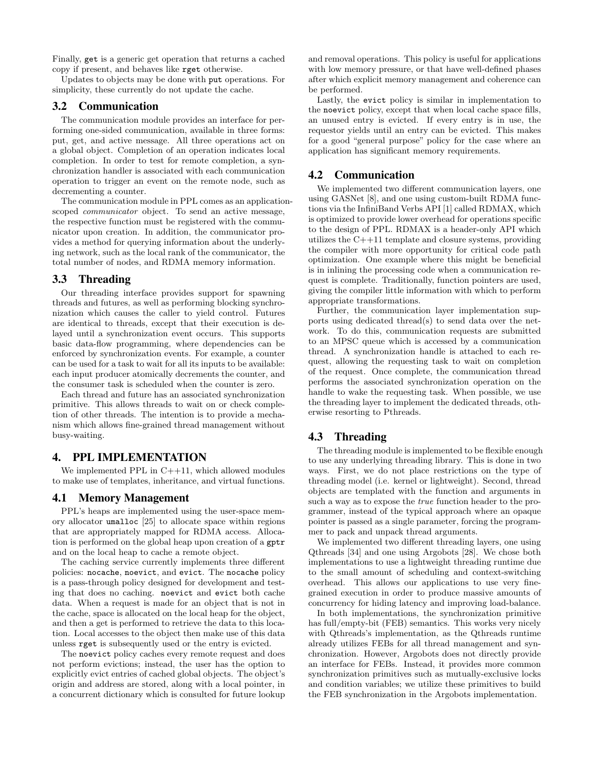Finally, get is a generic get operation that returns a cached copy if present, and behaves like rget otherwise.

Updates to objects may be done with put operations. For simplicity, these currently do not update the cache.

## 3.2 Communication

The communication module provides an interface for performing one-sided communication, available in three forms: put, get, and active message. All three operations act on a global object. Completion of an operation indicates local completion. In order to test for remote completion, a synchronization handler is associated with each communication operation to trigger an event on the remote node, such as decrementing a counter.

The communication module in PPL comes as an applicationscoped communicator object. To send an active message, the respective function must be registered with the communicator upon creation. In addition, the communicator provides a method for querying information about the underlying network, such as the local rank of the communicator, the total number of nodes, and RDMA memory information.

## 3.3 Threading

Our threading interface provides support for spawning threads and futures, as well as performing blocking synchronization which causes the caller to yield control. Futures are identical to threads, except that their execution is delayed until a synchronization event occurs. This supports basic data-flow programming, where dependencies can be enforced by synchronization events. For example, a counter can be used for a task to wait for all its inputs to be available: each input producer atomically decrements the counter, and the consumer task is scheduled when the counter is zero.

Each thread and future has an associated synchronization primitive. This allows threads to wait on or check completion of other threads. The intention is to provide a mechanism which allows fine-grained thread management without busy-waiting.

# 4. PPL IMPLEMENTATION

We implemented PPL in C++11, which allowed modules to make use of templates, inheritance, and virtual functions.

#### 4.1 Memory Management

PPL's heaps are implemented using the user-space memory allocator umalloc [25] to allocate space within regions that are appropriately mapped for RDMA access. Allocation is performed on the global heap upon creation of a gptr and on the local heap to cache a remote object.

The caching service currently implements three different policies: nocache, noevict, and evict. The nocache policy is a pass-through policy designed for development and testing that does no caching. noevict and evict both cache data. When a request is made for an object that is not in the cache, space is allocated on the local heap for the object, and then a get is performed to retrieve the data to this location. Local accesses to the object then make use of this data unless rget is subsequently used or the entry is evicted.

The noevict policy caches every remote request and does not perform evictions; instead, the user has the option to explicitly evict entries of cached global objects. The object's origin and address are stored, along with a local pointer, in a concurrent dictionary which is consulted for future lookup

and removal operations. This policy is useful for applications with low memory pressure, or that have well-defined phases after which explicit memory management and coherence can be performed.

Lastly, the evict policy is similar in implementation to the noevict policy, except that when local cache space fills, an unused entry is evicted. If every entry is in use, the requestor yields until an entry can be evicted. This makes for a good "general purpose" policy for the case where an application has significant memory requirements.

#### 4.2 Communication

We implemented two different communication layers, one using GASNet [8], and one using custom-built RDMA functions via the InfiniBand Verbs API [1] called RDMAX, which is optimized to provide lower overhead for operations specific to the design of PPL. RDMAX is a header-only API which utilizes the C++11 template and closure systems, providing the compiler with more opportunity for critical code path optimization. One example where this might be beneficial is in inlining the processing code when a communication request is complete. Traditionally, function pointers are used. giving the compiler little information with which to perform appropriate transformations.

Further, the communication layer implementation supports using dedicated thread(s) to send data over the network. To do this, communication requests are submitted to an MPSC queue which is accessed by a communication thread. A synchronization handle is attached to each request, allowing the requesting task to wait on completion of the request. Once complete, the communication thread performs the associated synchronization operation on the handle to wake the requesting task. When possible, we use the threading layer to implement the dedicated threads, otherwise resorting to Pthreads.

## 4.3 Threading

The threading module is implemented to be flexible enough to use any underlying threading library. This is done in two ways. First, we do not place restrictions on the type of threading model (i.e. kernel or lightweight). Second, thread objects are templated with the function and arguments in such a way as to expose the *true* function header to the programmer, instead of the typical approach where an opaque pointer is passed as a single parameter, forcing the programmer to pack and unpack thread arguments.

We implemented two different threading layers, one using Qthreads [34] and one using Argobots [28]. We chose both implementations to use a lightweight threading runtime due to the small amount of scheduling and context-switching overhead. This allows our applications to use very finegrained execution in order to produce massive amounts of concurrency for hiding latency and improving load-balance.

In both implementations, the synchronization primitive has full/empty-bit (FEB) semantics. This works very nicely with Qthreads's implementation, as the Qthreads runtime already utilizes FEBs for all thread management and synchronization. However, Argobots does not directly provide an interface for FEBs. Instead, it provides more common synchronization primitives such as mutually-exclusive locks and condition variables; we utilize these primitives to build the FEB synchronization in the Argobots implementation.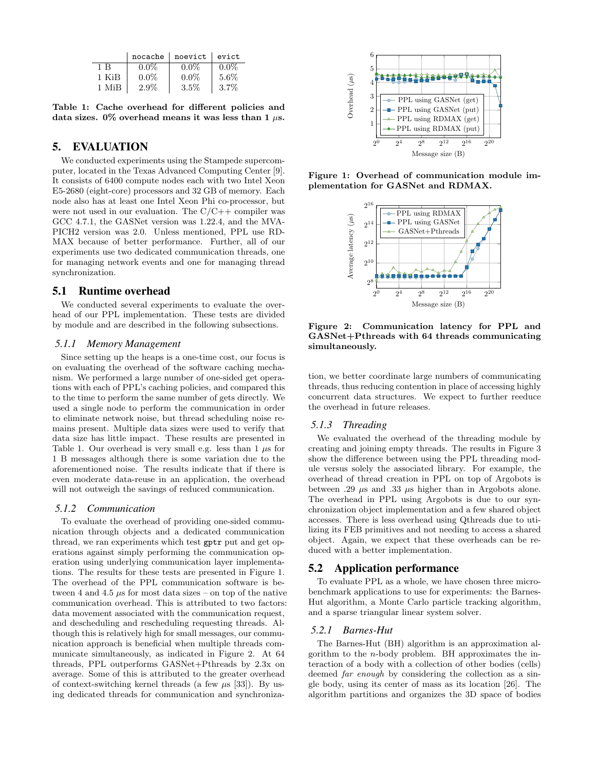|       | nocache | noevict | evict   |
|-------|---------|---------|---------|
| 1 R   | $0.0\%$ | $0.0\%$ | $0.0\%$ |
| 1 KiB | $0.0\%$ | $0.0\%$ | $5.6\%$ |
| 1 MiR | $2.9\%$ | $3.5\%$ | 3.7%    |

Table 1: Cache overhead for different policies and data sizes. 0% overhead means it was less than 1  $\mu$ s.

## 5. EVALUATION

We conducted experiments using the Stampede supercomputer, located in the Texas Advanced Computing Center [9]. It consists of 6400 compute nodes each with two Intel Xeon E5-2680 (eight-core) processors and 32 GB of memory. Each node also has at least one Intel Xeon Phi co-processor, but were not used in our evaluation. The  $C/C++$  compiler was GCC 4.7.1, the GASNet version was 1.22.4, and the MVA-PICH2 version was 2.0. Unless mentioned, PPL use RD-MAX because of better performance. Further, all of our experiments use two dedicated communication threads, one for managing network events and one for managing thread synchronization.

#### 5.1 Runtime overhead

We conducted several experiments to evaluate the overhead of our PPL implementation. These tests are divided by module and are described in the following subsections.

#### *5.1.1 Memory Management*

Since setting up the heaps is a one-time cost, our focus is on evaluating the overhead of the software caching mechanism. We performed a large number of one-sided get operations with each of PPL's caching policies, and compared this to the time to perform the same number of gets directly. We used a single node to perform the communication in order to eliminate network noise, but thread scheduling noise remains present. Multiple data sizes were used to verify that data size has little impact. These results are presented in Table 1. Our overhead is very small e.g. less than  $1 \mu s$  for 1 B messages although there is some variation due to the aforementioned noise. The results indicate that if there is even moderate data-reuse in an application, the overhead will not outweigh the savings of reduced communication.

#### *5.1.2 Communication*

To evaluate the overhead of providing one-sided communication through objects and a dedicated communication thread, we ran experiments which test gptr put and get operations against simply performing the communication operation using underlying communication layer implementations. The results for these tests are presented in Figure 1. The overhead of the PPL communication software is between 4 and 4.5  $\mu$ s for most data sizes – on top of the native communication overhead. This is attributed to two factors: data movement associated with the communication request, and descheduling and rescheduling requesting threads. Although this is relatively high for small messages, our communication approach is beneficial when multiple threads communicate simultaneously, as indicated in Figure 2. At 64 threads, PPL outperforms GASNet+Pthreads by 2.3x on average. Some of this is attributed to the greater overhead of context-switching kernel threads (a few  $\mu$ s [33]). By using dedicated threads for communication and synchroniza-



Figure 1: Overhead of communication module implementation for GASNet and RDMAX.



Figure 2: Communication latency for PPL and GASNet+Pthreads with 64 threads communicating simultaneously.

tion, we better coordinate large numbers of communicating threads, thus reducing contention in place of accessing highly concurrent data structures. We expect to further reeduce the overhead in future releases.

#### *5.1.3 Threading*

We evaluated the overhead of the threading module by creating and joining empty threads. The results in Figure 3 show the difference between using the PPL threading module versus solely the associated library. For example, the overhead of thread creation in PPL on top of Argobots is between .29  $\mu$ s and .33  $\mu$ s higher than in Argobots alone. The overhead in PPL using Argobots is due to our synchronization object implementation and a few shared object accesses. There is less overhead using Qthreads due to utilizing its FEB primitives and not needing to access a shared object. Again, we expect that these overheads can be reduced with a better implementation.

#### 5.2 Application performance

To evaluate PPL as a whole, we have chosen three microbenchmark applications to use for experiments: the Barnes-Hut algorithm, a Monte Carlo particle tracking algorithm, and a sparse triangular linear system solver.

#### *5.2.1 Barnes-Hut*

The Barnes-Hut (BH) algorithm is an approximation algorithm to the n-body problem. BH approximates the interaction of a body with a collection of other bodies (cells) deemed *far enough* by considering the collection as a single body, using its center of mass as its location [26]. The algorithm partitions and organizes the 3D space of bodies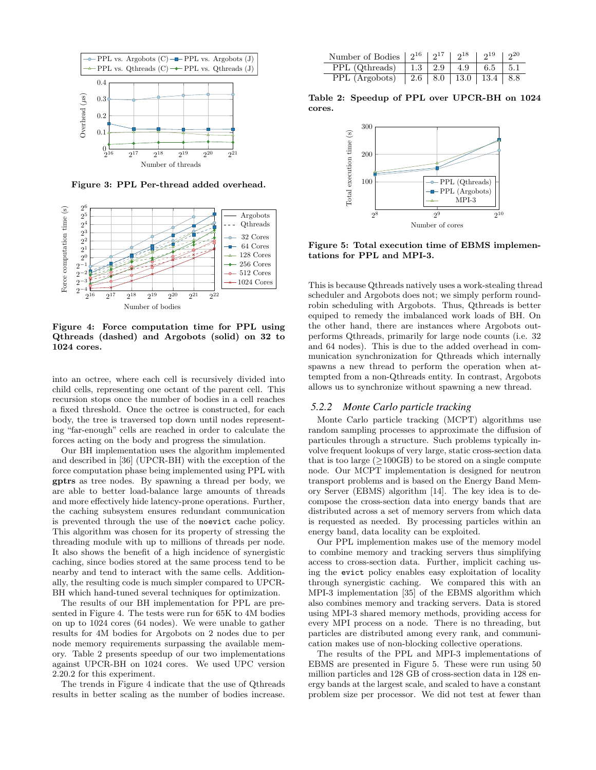

Figure 3: PPL Per-thread added overhead.



Figure 4: Force computation time for PPL using Qthreads (dashed) and Argobots (solid) on 32 to 1024 cores.

into an octree, where each cell is recursively divided into child cells, representing one octant of the parent cell. This recursion stops once the number of bodies in a cell reaches a fixed threshold. Once the octree is constructed, for each body, the tree is traversed top down until nodes representing "far-enough" cells are reached in order to calculate the forces acting on the body and progress the simulation.

Our BH implementation uses the algorithm implemented and described in [36] (UPCR-BH) with the exception of the force computation phase being implemented using PPL with gptrs as tree nodes. By spawning a thread per body, we are able to better load-balance large amounts of threads and more effectively hide latency-prone operations. Further, the caching subsystem ensures redundant communication is prevented through the use of the noevict cache policy. This algorithm was chosen for its property of stressing the threading module with up to millions of threads per node. It also shows the benefit of a high incidence of synergistic caching, since bodies stored at the same process tend to be nearby and tend to interact with the same cells. Additionally, the resulting code is much simpler compared to UPCR-BH which hand-tuned several techniques for optimization.

The results of our BH implementation for PPL are presented in Figure 4. The tests were run for 65K to 4M bodies on up to 1024 cores (64 nodes). We were unable to gather results for 4M bodies for Argobots on 2 nodes due to per node memory requirements surpassing the available memory. Table 2 presents speedup of our two implementations against UPCR-BH on 1024 cores. We used UPC version 2.20.2 for this experiment.

The trends in Figure 4 indicate that the use of Qthreads results in better scaling as the number of bodies increase.

| Number of Bodies $ 2^{16}  2^{17}  2^{18}  2^{19}  2^{20}$ |  |  |  |
|------------------------------------------------------------|--|--|--|
| PPL (Qthreads)   1.3   2.9   4.9   6.5   5.1               |  |  |  |
| PPL (Argobots)   2.6   8.0   13.0   13.4   8.8             |  |  |  |

Table 2: Speedup of PPL over UPCR-BH on 1024 cores.



Figure 5: Total execution time of EBMS implementations for PPL and MPI-3.

This is because Qthreads natively uses a work-stealing thread scheduler and Argobots does not; we simply perform roundrobin scheduling with Argobots. Thus, Qthreads is better equiped to remedy the imbalanced work loads of BH. On the other hand, there are instances where Argobots outperforms Qthreads, primarily for large node counts (i.e. 32 and 64 nodes). This is due to the added overhead in communication synchronization for Qthreads which internally spawns a new thread to perform the operation when attempted from a non-Qthreads entity. In contrast, Argobots allows us to synchronize without spawning a new thread.

#### *5.2.2 Monte Carlo particle tracking*

Monte Carlo particle tracking (MCPT) algorithms use random sampling processes to approximate the diffusion of particules through a structure. Such problems typically involve frequent lookups of very large, static cross-section data that is too large  $(\geq 100 \text{GB})$  to be stored on a single compute node. Our MCPT implementation is designed for neutron transport problems and is based on the Energy Band Memory Server (EBMS) algorithm [14]. The key idea is to decompose the cross-section data into energy bands that are distributed across a set of memory servers from which data is requested as needed. By processing particles within an energy band, data locality can be exploited.

Our PPL implemention makes use of the memory model to combine memory and tracking servers thus simplifying access to cross-section data. Further, implicit caching using the evict policy enables easy exploitation of locality through synergistic caching. We compared this with an MPI-3 implementation [35] of the EBMS algorithm which also combines memory and tracking servers. Data is stored using MPI-3 shared memory methods, providing access for every MPI process on a node. There is no threading, but particles are distributed among every rank, and communication makes use of non-blocking collective operations.

The results of the PPL and MPI-3 implementations of EBMS are presented in Figure 5. These were run using 50 million particles and 128 GB of cross-section data in 128 energy bands at the largest scale, and scaled to have a constant problem size per processor. We did not test at fewer than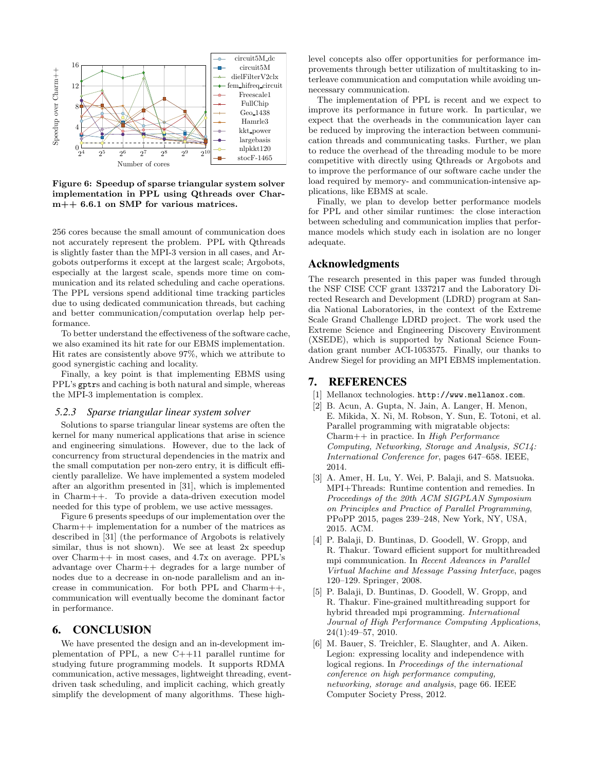

Figure 6: Speedup of sparse triangular system solver implementation in PPL using Qthreads over Charm++ 6.6.1 on SMP for various matrices.

256 cores because the small amount of communication does not accurately represent the problem. PPL with Qthreads is slightly faster than the MPI-3 version in all cases, and Argobots outperforms it except at the largest scale; Argobots, especially at the largest scale, spends more time on communication and its related scheduling and cache operations. The PPL versions spend additional time tracking particles due to using dedicated communication threads, but caching and better communication/computation overlap help performance.

To better understand the effectiveness of the software cache, we also examined its hit rate for our EBMS implementation. Hit rates are consistently above 97%, which we attribute to good synergistic caching and locality.

Finally, a key point is that implementing EBMS using PPL's gptrs and caching is both natural and simple, whereas the MPI-3 implementation is complex.

#### *5.2.3 Sparse triangular linear system solver*

Solutions to sparse triangular linear systems are often the kernel for many numerical applications that arise in science and engineering simulations. However, due to the lack of concurrency from structural dependencies in the matrix and the small computation per non-zero entry, it is difficult efficiently parallelize. We have implemented a system modeled after an algorithm presented in [31], which is implemented in Charm++. To provide a data-driven execution model needed for this type of problem, we use active messages.

Figure 6 presents speedups of our implementation over the  $Charm++ implementation$  for a number of the matrices as described in [31] (the performance of Argobots is relatively similar, thus is not shown). We see at least 2x speedup over Charm++ in most cases, and 4.7x on average. PPL's advantage over Charm++ degrades for a large number of nodes due to a decrease in on-node parallelism and an increase in communication. For both PPL and Charm++, communication will eventually become the dominant factor in performance.

## 6. CONCLUSION

We have presented the design and an in-development implementation of PPL, a new C++11 parallel runtime for studying future programming models. It supports RDMA communication, active messages, lightweight threading, eventdriven task scheduling, and implicit caching, which greatly simplify the development of many algorithms. These highlevel concepts also offer opportunities for performance improvements through better utilization of multitasking to interleave communication and computation while avoiding unnecessary communication.

The implementation of PPL is recent and we expect to improve its performance in future work. In particular, we expect that the overheads in the communication layer can be reduced by improving the interaction between communication threads and communicating tasks. Further, we plan to reduce the overhead of the threading module to be more competitive with directly using Qthreads or Argobots and to improve the performance of our software cache under the load required by memory- and communication-intensive applications, like EBMS at scale.

Finally, we plan to develop better performance models for PPL and other similar runtimes: the close interaction between scheduling and communication implies that performance models which study each in isolation are no longer adequate.

# Acknowledgments

The research presented in this paper was funded through the NSF CISE CCF grant 1337217 and the Laboratory Directed Research and Development (LDRD) program at Sandia National Laboratories, in the context of the Extreme Scale Grand Challenge LDRD project. The work used the Extreme Science and Engineering Discovery Environment (XSEDE), which is supported by National Science Foundation grant number ACI-1053575. Finally, our thanks to Andrew Siegel for providing an MPI EBMS implementation.

# 7. REFERENCES

- [1] Mellanox technologies. http://www.mellanox.com.
- [2] B. Acun, A. Gupta, N. Jain, A. Langer, H. Menon, E. Mikida, X. Ni, M. Robson, Y. Sun, E. Totoni, et al. Parallel programming with migratable objects: Charm++ in practice. In High Performance Computing, Networking, Storage and Analysis, SC14: International Conference for, pages 647–658. IEEE, 2014.
- [3] A. Amer, H. Lu, Y. Wei, P. Balaji, and S. Matsuoka. MPI+Threads: Runtime contention and remedies. In Proceedings of the 20th ACM SIGPLAN Symposium on Principles and Practice of Parallel Programming, PPoPP 2015, pages 239–248, New York, NY, USA, 2015. ACM.
- [4] P. Balaji, D. Buntinas, D. Goodell, W. Gropp, and R. Thakur. Toward efficient support for multithreaded mpi communication. In Recent Advances in Parallel Virtual Machine and Message Passing Interface, pages 120–129. Springer, 2008.
- [5] P. Balaji, D. Buntinas, D. Goodell, W. Gropp, and R. Thakur. Fine-grained multithreading support for hybrid threaded mpi programming. International Journal of High Performance Computing Applications, 24(1):49–57, 2010.
- [6] M. Bauer, S. Treichler, E. Slaughter, and A. Aiken. Legion: expressing locality and independence with logical regions. In Proceedings of the international conference on high performance computing, networking, storage and analysis, page 66. IEEE Computer Society Press, 2012.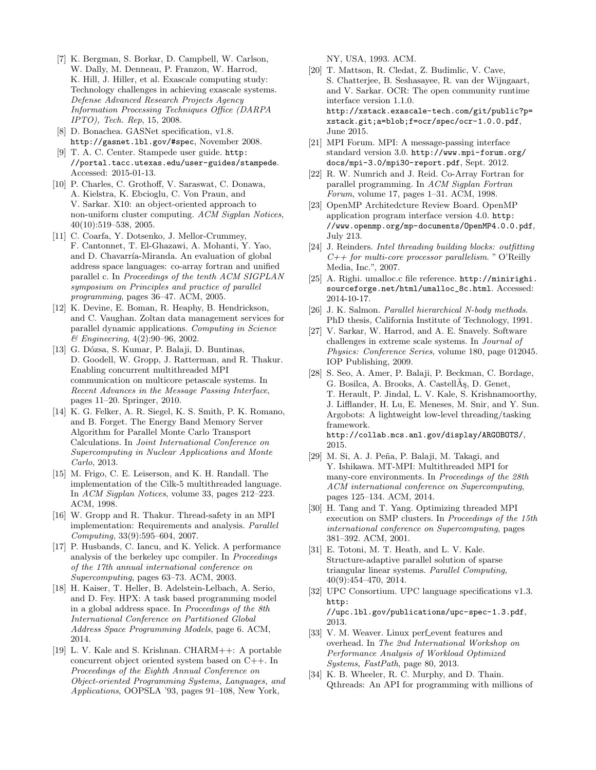- [7] K. Bergman, S. Borkar, D. Campbell, W. Carlson, W. Dally, M. Denneau, P. Franzon, W. Harrod, K. Hill, J. Hiller, et al. Exascale computing study: Technology challenges in achieving exascale systems. Defense Advanced Research Projects Agency Information Processing Techniques Office (DARPA IPTO), Tech. Rep, 15, 2008.
- [8] D. Bonachea. GASNet specification, v1.8. http://gasnet.lbl.gov/#spec, November 2008.
- [9] T. A. C. Center. Stampede user guide. http: //portal.tacc.utexas.edu/user-guides/stampede. Accessed: 2015-01-13.
- [10] P. Charles, C. Grothoff, V. Saraswat, C. Donawa, A. Kielstra, K. Ebcioglu, C. Von Praun, and V. Sarkar. X10: an object-oriented approach to non-uniform cluster computing. ACM Sigplan Notices, 40(10):519–538, 2005.
- [11] C. Coarfa, Y. Dotsenko, J. Mellor-Crummey, F. Cantonnet, T. El-Ghazawi, A. Mohanti, Y. Yao, and D. Chavarría-Miranda. An evaluation of global address space languages: co-array fortran and unified parallel c. In Proceedings of the tenth ACM SIGPLAN symposium on Principles and practice of parallel programming, pages 36–47. ACM, 2005.
- [12] K. Devine, E. Boman, R. Heaphy, B. Hendrickson, and C. Vaughan. Zoltan data management services for parallel dynamic applications. Computing in Science & Engineering, 4(2):90–96, 2002.
- [13] G. Dózsa, S. Kumar, P. Balaji, D. Buntinas, D. Goodell, W. Gropp, J. Ratterman, and R. Thakur. Enabling concurrent multithreaded MPI communication on multicore petascale systems. In Recent Advances in the Message Passing Interface, pages 11–20. Springer, 2010.
- [14] K. G. Felker, A. R. Siegel, K. S. Smith, P. K. Romano, and B. Forget. The Energy Band Memory Server Algorithm for Parallel Monte Carlo Transport Calculations. In Joint International Conference on Supercomputing in Nuclear Applications and Monte Carlo, 2013.
- [15] M. Frigo, C. E. Leiserson, and K. H. Randall. The implementation of the Cilk-5 multithreaded language. In ACM Sigplan Notices, volume 33, pages 212–223. ACM, 1998.
- [16] W. Gropp and R. Thakur. Thread-safety in an MPI implementation: Requirements and analysis. Parallel Computing, 33(9):595–604, 2007.
- [17] P. Husbands, C. Iancu, and K. Yelick. A performance analysis of the berkeley upc compiler. In Proceedings of the 17th annual international conference on Supercomputing, pages 63–73. ACM, 2003.
- [18] H. Kaiser, T. Heller, B. Adelstein-Lelbach, A. Serio, and D. Fey. HPX: A task based programming model in a global address space. In Proceedings of the 8th International Conference on Partitioned Global Address Space Programming Models, page 6. ACM, 2014.
- [19] L. V. Kale and S. Krishnan. CHARM++: A portable concurrent object oriented system based on C++. In Proceedings of the Eighth Annual Conference on Object-oriented Programming Systems, Languages, and Applications, OOPSLA '93, pages 91-108, New York,

NY, USA, 1993. ACM.

- [20] T. Mattson, R. Cledat, Z. Budimlic, V. Cave, S. Chatterjee, B. Seshasayee, R. van der Wijngaart, and V. Sarkar. OCR: The open community runtime interface version 1.1.0. http://xstack.exascale-tech.com/git/public?p= xstack.git;a=blob;f=ocr/spec/ocr-1.0.0.pdf, June 2015.
- [21] MPI Forum. MPI: A message-passing interface standard version 3.0. http://www.mpi-forum.org/ docs/mpi-3.0/mpi30-report.pdf, Sept. 2012.
- [22] R. W. Numrich and J. Reid. Co-Array Fortran for parallel programming. In ACM Sigplan Fortran Forum, volume 17, pages 1–31. ACM, 1998.
- [23] OpenMP Architedcture Review Board. OpenMP application program interface version 4.0. http: //www.openmp.org/mp-documents/OpenMP4.0.0.pdf, July 213.
- [24] J. Reinders. Intel threading building blocks: outfitting  $C++$  for multi-core processor parallelism. " O'Reilly Media, Inc.", 2007.
- [25] A. Righi. umalloc.c file reference. http://minirighi. sourceforge.net/html/umalloc\_8c.html. Accessed: 2014-10-17.
- [26] J. K. Salmon. Parallel hierarchical N-body methods. PhD thesis, California Institute of Technology, 1991.
- [27] V. Sarkar, W. Harrod, and A. E. Snavely. Software challenges in extreme scale systems. In Journal of Physics: Conference Series, volume 180, page 012045. IOP Publishing, 2009.
- [28] S. Seo, A. Amer, P. Balaji, P. Beckman, C. Bordage, G. Bosilca, A. Brooks, A. CastellAş, D. Genet, T. Herault, P. Jindal, L. V. Kale, S. Krishnamoorthy, J. Lifflander, H. Lu, E. Meneses, M. Snir, and Y. Sun. Argobots: A lightweight low-level threading/tasking framework. http://collab.mcs.anl.gov/display/ARGOBOTS/, 2015.
- [29] M. Si, A. J. Peña, P. Balaji, M. Takagi, and Y. Ishikawa. MT-MPI: Multithreaded MPI for many-core environments. In Proceedings of the 28th ACM international conference on Supercomputing, pages 125–134. ACM, 2014.
- [30] H. Tang and T. Yang. Optimizing threaded MPI execution on SMP clusters. In Proceedings of the 15th international conference on Supercomputing, pages 381–392. ACM, 2001.
- [31] E. Totoni, M. T. Heath, and L. V. Kale. Structure-adaptive parallel solution of sparse triangular linear systems. Parallel Computing, 40(9):454–470, 2014.
- [32] UPC Consortium. UPC language specifications v1.3. http: //upc.lbl.gov/publications/upc-spec-1.3.pdf, 2013.
- [33] V. M. Weaver. Linux perf event features and overhead. In The 2nd International Workshop on Performance Analysis of Workload Optimized Systems, FastPath, page 80, 2013.
- [34] K. B. Wheeler, R. C. Murphy, and D. Thain. Qthreads: An API for programming with millions of